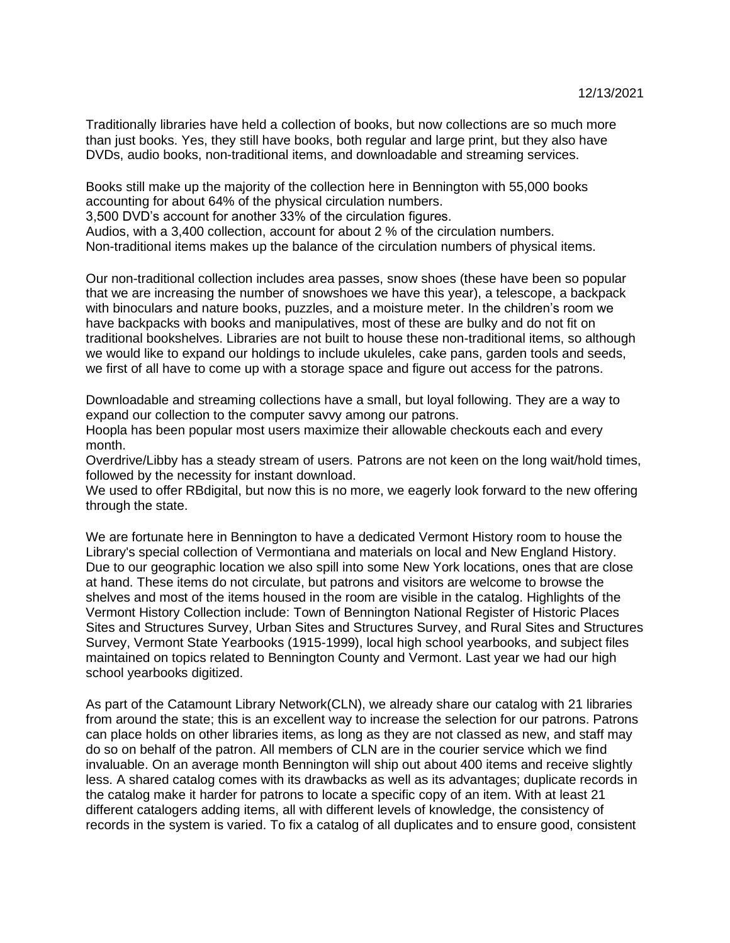Traditionally libraries have held a collection of books, but now collections are so much more than just books. Yes, they still have books, both regular and large print, but they also have DVDs, audio books, non-traditional items, and downloadable and streaming services.

Books still make up the majority of the collection here in Bennington with 55,000 books accounting for about 64% of the physical circulation numbers. 3,500 DVD's account for another 33% of the circulation figures. Audios, with a 3,400 collection, account for about 2 % of the circulation numbers.

Non-traditional items makes up the balance of the circulation numbers of physical items.

Our non-traditional collection includes area passes, snow shoes (these have been so popular that we are increasing the number of snowshoes we have this year), a telescope, a backpack with binoculars and nature books, puzzles, and a moisture meter. In the children's room we have backpacks with books and manipulatives, most of these are bulky and do not fit on traditional bookshelves. Libraries are not built to house these non-traditional items, so although we would like to expand our holdings to include ukuleles, cake pans, garden tools and seeds, we first of all have to come up with a storage space and figure out access for the patrons.

Downloadable and streaming collections have a small, but loyal following. They are a way to expand our collection to the computer savvy among our patrons.

Hoopla has been popular most users maximize their allowable checkouts each and every month.

Overdrive/Libby has a steady stream of users. Patrons are not keen on the long wait/hold times, followed by the necessity for instant download.

We used to offer RBdigital, but now this is no more, we eagerly look forward to the new offering through the state.

We are fortunate here in Bennington to have a dedicated Vermont History room to house the Library's special collection of Vermontiana and materials on local and New England History. Due to our geographic location we also spill into some New York locations, ones that are close at hand. These items do not circulate, but patrons and visitors are welcome to browse the shelves and most of the items housed in the room are visible in the catalog. Highlights of the Vermont History Collection include: Town of Bennington National Register of Historic Places Sites and Structures Survey, Urban Sites and Structures Survey, and Rural Sites and Structures Survey, Vermont State Yearbooks (1915-1999), local high school yearbooks, and subject files maintained on topics related to Bennington County and Vermont. Last year we had our high school yearbooks digitized.

As part of the Catamount Library Network(CLN), we already share our catalog with 21 libraries from around the state; this is an excellent way to increase the selection for our patrons. Patrons can place holds on other libraries items, as long as they are not classed as new, and staff may do so on behalf of the patron. All members of CLN are in the courier service which we find invaluable. On an average month Bennington will ship out about 400 items and receive slightly less. A shared catalog comes with its drawbacks as well as its advantages; duplicate records in the catalog make it harder for patrons to locate a specific copy of an item. With at least 21 different catalogers adding items, all with different levels of knowledge, the consistency of records in the system is varied. To fix a catalog of all duplicates and to ensure good, consistent